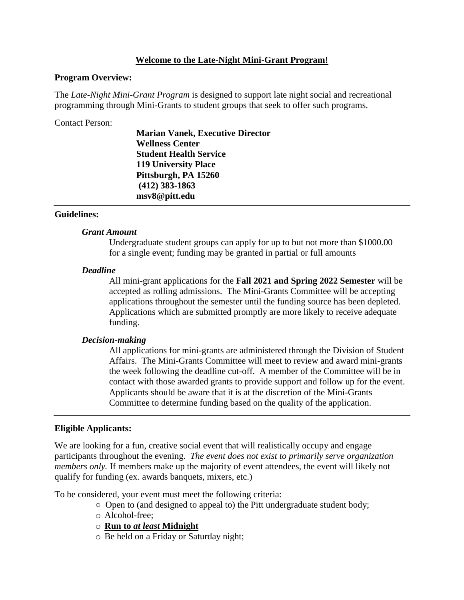### **Welcome to the Late-Night Mini-Grant Program!**

#### **Program Overview:**

The *Late-Night Mini-Grant Program* is designed to support late night social and recreational programming through Mini-Grants to student groups that seek to offer such programs.

Contact Person:

**Marian Vanek, Executive Director Wellness Center Student Health Service 119 University Place Pittsburgh, PA 15260 (412) 383-1863 msv8@pitt.edu**

## **Guidelines:**

#### *Grant Amount*

Undergraduate student groups can apply for up to but not more than \$1000.00 for a single event; funding may be granted in partial or full amounts

#### *Deadline*

All mini-grant applications for the **Fall 2021 and Spring 2022 Semester** will be accepted as rolling admissions. The Mini-Grants Committee will be accepting applications throughout the semester until the funding source has been depleted. Applications which are submitted promptly are more likely to receive adequate funding.

## *Decision-making*

All applications for mini-grants are administered through the Division of Student Affairs. The Mini-Grants Committee will meet to review and award mini-grants the week following the deadline cut-off. A member of the Committee will be in contact with those awarded grants to provide support and follow up for the event. Applicants should be aware that it is at the discretion of the Mini-Grants Committee to determine funding based on the quality of the application.

## **Eligible Applicants:**

We are looking for a fun, creative social event that will realistically occupy and engage participants throughout the evening. *The event does not exist to primarily serve organization members only.* If members make up the majority of event attendees, the event will likely not qualify for funding (ex. awards banquets, mixers, etc.)

To be considered, your event must meet the following criteria:

- Open to (and designed to appeal to) the Pitt undergraduate student body;
- o Alcohol-free;
- o **Run to** *at least* **Midnight**
- o Be held on a Friday or Saturday night;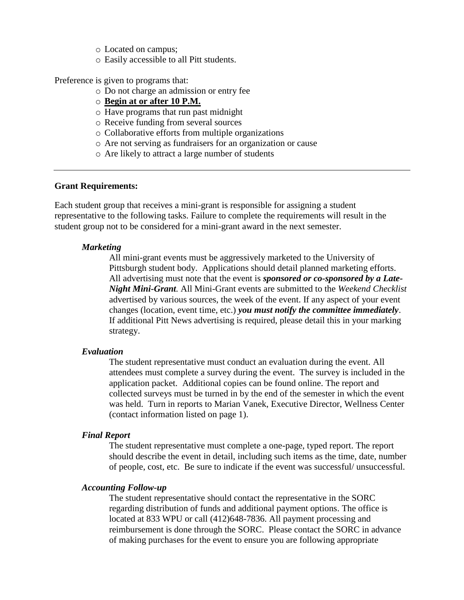- o Located on campus;
- o Easily accessible to all Pitt students.

Preference is given to programs that:

- o Do not charge an admission or entry fee
- o **Begin at or after 10 P.M.**
- o Have programs that run past midnight
- o Receive funding from several sources
- o Collaborative efforts from multiple organizations
- o Are not serving as fundraisers for an organization or cause
- o Are likely to attract a large number of students

#### **Grant Requirements:**

Each student group that receives a mini-grant is responsible for assigning a student representative to the following tasks. Failure to complete the requirements will result in the student group not to be considered for a mini-grant award in the next semester.

#### *Marketing*

All mini-grant events must be aggressively marketed to the University of Pittsburgh student body. Applications should detail planned marketing efforts. All advertising must note that the event is *sponsored or co-sponsored by a Late-Night Mini-Grant.* All Mini-Grant events are submitted to the *Weekend Checklist* advertised by various sources, the week of the event. If any aspect of your event changes (location, event time, etc.) *you must notify the committee immediately*. If additional Pitt News advertising is required, please detail this in your marking strategy.

#### *Evaluation*

The student representative must conduct an evaluation during the event. All attendees must complete a survey during the event. The survey is included in the application packet. Additional copies can be found online. The report and collected surveys must be turned in by the end of the semester in which the event was held. Turn in reports to Marian Vanek, Executive Director, Wellness Center (contact information listed on page 1).

#### *Final Report*

The student representative must complete a one-page, typed report. The report should describe the event in detail, including such items as the time, date, number of people, cost, etc. Be sure to indicate if the event was successful/ unsuccessful.

#### *Accounting Follow-up*

The student representative should contact the representative in the SORC regarding distribution of funds and additional payment options. The office is located at 833 WPU or call (412)648-7836. All payment processing and reimbursement is done through the SORC. Please contact the SORC in advance of making purchases for the event to ensure you are following appropriate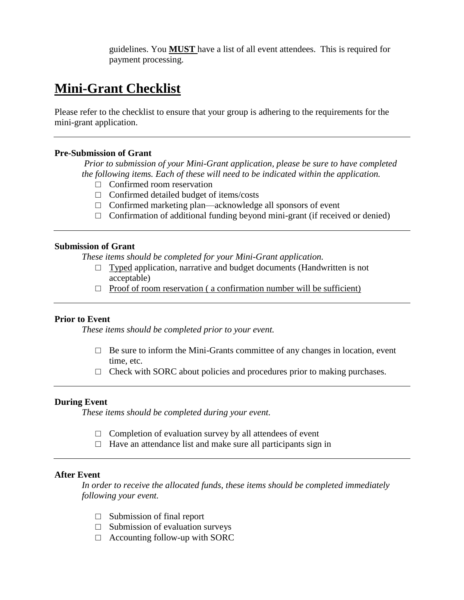guidelines. You **MUST** have a list of all event attendees. This is required for payment processing.

# **Mini-Grant Checklist**

Please refer to the checklist to ensure that your group is adhering to the requirements for the mini-grant application.

#### **Pre-Submission of Grant**

*Prior to submission of your Mini-Grant application, please be sure to have completed the following items. Each of these will need to be indicated within the application.* 

- □ Confirmed room reservation
- $\Box$  Confirmed detailed budget of items/costs
- $\Box$  Confirmed marketing plan—acknowledge all sponsors of event
- $\Box$  Confirmation of additional funding beyond mini-grant (if received or denied)

#### **Submission of Grant**

*These items should be completed for your Mini-Grant application.*

- $\Box$  Typed application, narrative and budget documents (Handwritten is not acceptable)
- $\Box$  Proof of room reservation (a confirmation number will be sufficient)

## **Prior to Event**

*These items should be completed prior to your event.* 

- $\Box$  Be sure to inform the Mini-Grants committee of any changes in location, event time, etc.
- $\Box$  Check with SORC about policies and procedures prior to making purchases.

#### **During Event**

*These items should be completed during your event.* 

- $\Box$  Completion of evaluation survey by all attendees of event
- $\Box$  Have an attendance list and make sure all participants sign in

#### **After Event**

*In order to receive the allocated funds, these items should be completed immediately following your event.* 

- $\Box$  Submission of final report
- $\Box$  Submission of evaluation surveys
- $\Box$  Accounting follow-up with SORC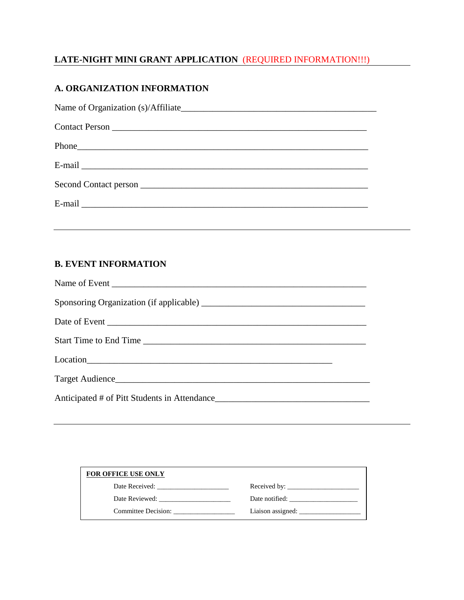# **LATE-NIGHT MINI GRANT APPLICATION** (REQUIRED INFORMATION!!!)

# **A. ORGANIZATION INFORMATION**

# **B. EVENT INFORMATION**

| Target Audience |  |
|-----------------|--|
|                 |  |

| <b>FOR OFFICE USE ONLY</b> |                |
|----------------------------|----------------|
| Date Received:             | Received by:   |
| Date Reviewed:             | Date notified: |
| Committee Decision:        |                |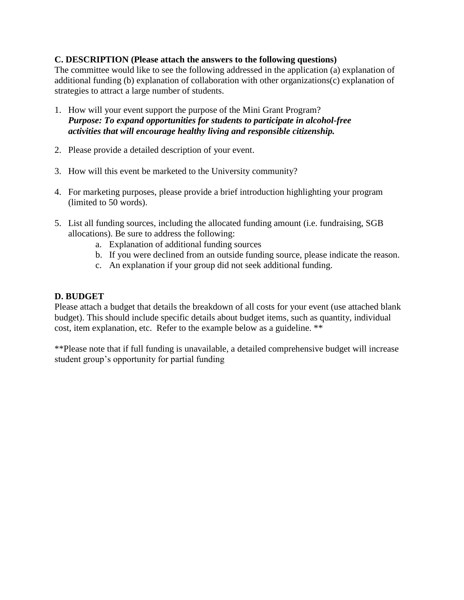# **C. DESCRIPTION (Please attach the answers to the following questions)**

The committee would like to see the following addressed in the application (a) explanation of additional funding (b) explanation of collaboration with other organizations(c) explanation of strategies to attract a large number of students.

- 1. How will your event support the purpose of the Mini Grant Program? *Purpose: To expand opportunities for students to participate in alcohol-free activities that will encourage healthy living and responsible citizenship.*
- 2. Please provide a detailed description of your event.
- 3. How will this event be marketed to the University community?
- 4. For marketing purposes, please provide a brief introduction highlighting your program (limited to 50 words).
- 5. List all funding sources, including the allocated funding amount (i.e. fundraising, SGB allocations). Be sure to address the following:
	- a. Explanation of additional funding sources
	- b. If you were declined from an outside funding source, please indicate the reason.
	- c. An explanation if your group did not seek additional funding.

# **D. BUDGET**

Please attach a budget that details the breakdown of all costs for your event (use attached blank budget). This should include specific details about budget items, such as quantity, individual cost, item explanation, etc. Refer to the example below as a guideline. \*\*

\*\*Please note that if full funding is unavailable, a detailed comprehensive budget will increase student group's opportunity for partial funding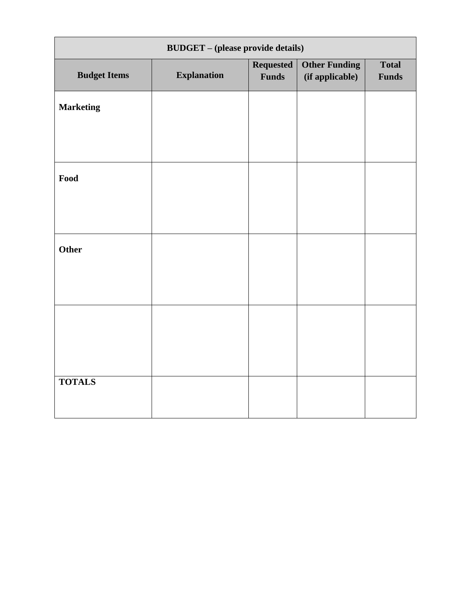| <b>BUDGET</b> – (please provide details) |                    |                                  |                                         |                              |  |
|------------------------------------------|--------------------|----------------------------------|-----------------------------------------|------------------------------|--|
| <b>Budget Items</b>                      | <b>Explanation</b> | <b>Requested</b><br><b>Funds</b> | <b>Other Funding</b><br>(if applicable) | <b>Total</b><br><b>Funds</b> |  |
| <b>Marketing</b>                         |                    |                                  |                                         |                              |  |
|                                          |                    |                                  |                                         |                              |  |
| Food                                     |                    |                                  |                                         |                              |  |
|                                          |                    |                                  |                                         |                              |  |
| Other                                    |                    |                                  |                                         |                              |  |
|                                          |                    |                                  |                                         |                              |  |
|                                          |                    |                                  |                                         |                              |  |
|                                          |                    |                                  |                                         |                              |  |
| <b>TOTALS</b>                            |                    |                                  |                                         |                              |  |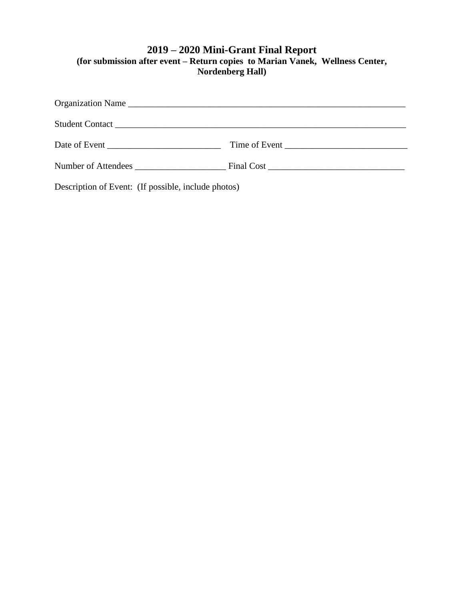# **2019 – 2020 Mini-Grant Final Report (for submission after event – Return copies to Marian Vanek, Wellness Center, Nordenberg Hall)**

| Date of Event |  |
|---------------|--|
|               |  |

Description of Event: (If possible, include photos)